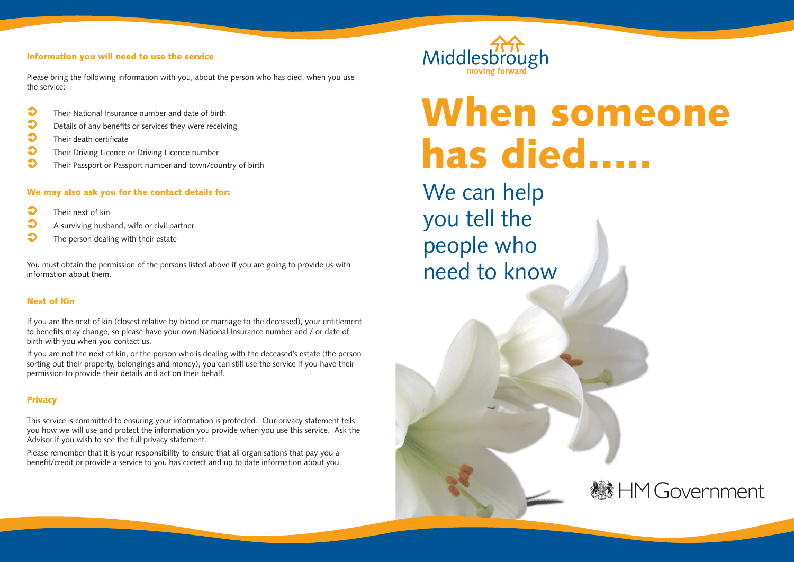# **Information you will need to use the service**

Please bring the following information with you, about the person who has died, when you use the service:

- $\bullet$ Their National Insurance number and date of birth
- $\bullet$ Details of any benefits or services they were receiving
- $\bullet$ Their death certificate
- $\bullet$ Their Driving Licence or Driving Licence number
- $\bullet$ Their Passport or Passport number and town/country of birth

# **We may also ask you for the contact details for:**

- $\bullet$ Their next of kin
- $\bullet$ A surviving husband, wife or civil partner
- $\bullet$ The person dealing with their estate

You must obtain the permission of the persons listed above if you are going to provide us with information about them.

# **Next of Kin**

If you are the next of kin (closest relative by blood or marriage to the deceased), your entitlement to benefits may change, so please have your own National Insurance number and / or date of birth with you when you contact us.

If you are not the next of kin, or the person who is dealing with the deceased's estate (the person sorting out their property, belongings and money), you can still use the service if you have their permission to provide their details and act on their behalf.

# **Privacy**

This service is committed to ensuring your information is protected. Our privacy statement tells you how we will use and protect the information you provide when you use this service. Ask the Advisor if you wish to see the full privacy statement.

Please remember that it is your responsibility to ensure that all organisations that pay you a benefit/credit or provide a service to you has correct and up to date information about you.



# **When someone has died…..**

We can help you tell the people who need to know

**然HM Government**